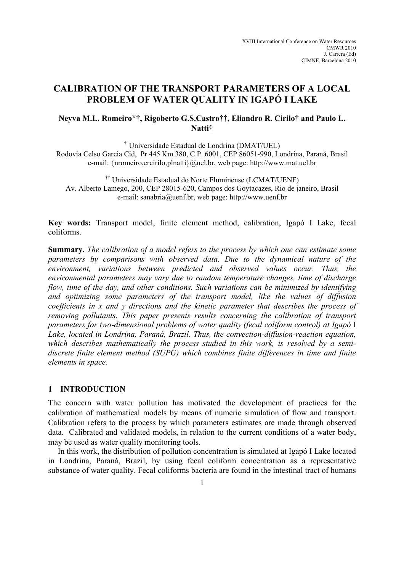# **CALIBRATION OF THE TRANSPORT PARAMETERS OF A LOCAL PROBLEM OF WATER QUALITY IN IGAPÓ I LAKE**

# **Neyva M.L. Romeiro\*†, Rigoberto G.S.Castro††, Eliandro R. Cirilo† and Paulo L. Natti†**

† Universidade Estadual de Londrina (DMAT/UEL) Rodovia Celso Garcia Cid, Pr 445 Km 380, C.P. 6001, CEP 86051-990, Londrina, Paraná, Brasil e-mail: {nromeiro,ercirilo,plnatti}@uel.br, web page: http://www.mat.uel.br

†† Universidade Estadual do Norte Fluminense (LCMAT/UENF) Av. Alberto Lamego, 200, CEP 28015-620, Campos dos Goytacazes, Rio de janeiro, Brasil e-mail: sanabria@uenf.br, web page: http://www.uenf.br

**Key words:** Transport model, finite element method, calibration, Igapó I Lake, fecal coliforms.

**Summary.** *The calibration of a model refers to the process by which one can estimate some parameters by comparisons with observed data. Due to the dynamical nature of the environment, variations between predicted and observed values occur. Thus, the environmental parameters may vary due to random temperature changes, time of discharge flow, time of the day, and other conditions. Such variations can be minimized by identifying and optimizing some parameters of the transport model, like the values of diffusion coefficients in x and y directions and the kinetic parameter that describes the process of removing pollutants. This paper presents results concerning the calibration of transport parameters for two-dimensional problems of water quality (fecal coliform control) at Igapó* I *Lake, located in Londrina, Paraná, Brazil. Thus, the convection-diffusion-reaction equation, which describes mathematically the process studied in this work, is resolved by a semidiscrete finite element method (SUPG) which combines finite differences in time and finite elements in space.* 

## **1 INTRODUCTION**

The concern with water pollution has motivated the development of practices for the calibration of mathematical models by means of numeric simulation of flow and transport. Calibration refers to the process by which parameters estimates are made through observed data. Calibrated and validated models, in relation to the current conditions of a water body, may be used as water quality monitoring tools.

In this work, the distribution of pollution concentration is simulated at Igapó I Lake located in Londrina, Paraná, Brazil, by using fecal coliform concentration as a representative substance of water quality. Fecal coliforms bacteria are found in the intestinal tract of humans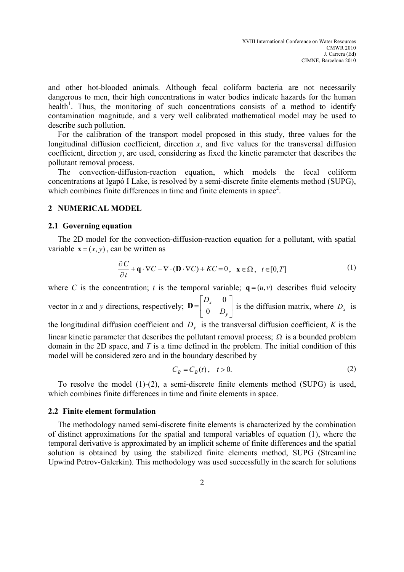and other hot-blooded animals. Although fecal coliform bacteria are not necessarily dangerous to men, their high concentrations in water bodies indicate hazards for the human health<sup>1</sup>. Thus, the monitoring of such concentrations consists of a method to identify contamination magnitude, and a very well calibrated mathematical model may be used to describe such pollution.

For the calibration of the transport model proposed in this study, three values for the longitudinal diffusion coefficient, direction  $x$ , and five values for the transversal diffusion coefficient, direction  $v$ , are used, considering as fixed the kinetic parameter that describes the pollutant removal process.

The convection-diffusion-reaction equation, which models the fecal coliform concentrations at Igapó I Lake, is resolved by a semi-discrete finite elements method (SUPG), which combines finite differences in time and finite elements in space<sup>2</sup>.

#### **2 NUMERICAL MODEL**

#### **2.1 Governing equation**

The 2D model for the convection-diffusion-reaction equation for a pollutant, with spatial variable  $\mathbf{x} = (x, y)$ , can be written as

$$
\frac{\partial C}{\partial t} + \mathbf{q} \cdot \nabla C - \nabla \cdot (\mathbf{D} \cdot \nabla C) + KC = 0, \quad \mathbf{x} \in \Omega, \quad t \in [0, T]
$$
 (1)

where *C* is the concentration; *t* is the temporal variable;  $\mathbf{q} = (u, v)$  describes fluid velocity vector in *x* and *y* directions, respectively;  $\mathbf{D} = \begin{bmatrix} 1 & 1 \\ 0 & D \end{bmatrix}$  $\rfloor$  $\begin{vmatrix} D_x & 0 \\ 0 & D \end{vmatrix}$ L  $=$ *y x D D* 0 0  $\mathbf{D} = \begin{pmatrix} x \\ 0 & D \end{pmatrix}$  is the diffusion matrix, where  $D_x$  is the longitudinal diffusion coefficient and  $D<sub>y</sub>$  is the transversal diffusion coefficient, *K* is the linear kinetic parameter that describes the pollutant removal process;  $\Omega$  is a bounded problem domain in the 2D space, and *T* is a time defined in the problem. The initial condition of this model will be considered zero and in the boundary described by

$$
C_B = C_B(t), \quad t > 0. \tag{2}
$$

To resolve the model  $(1)-(2)$ , a semi-discrete finite elements method  $(SUPG)$  is used, which combines finite differences in time and finite elements in space.

#### **2.2 Finite element formulation**

The methodology named semi-discrete finite elements is characterized by the combination of distinct approximations for the spatial and temporal variables of equation (1), where the temporal derivative is approximated by an implicit scheme of finite differences and the spatial solution is obtained by using the stabilized finite elements method, SUPG (Streamline Upwind Petrov-Galerkin). This methodology was used successfully in the search for solutions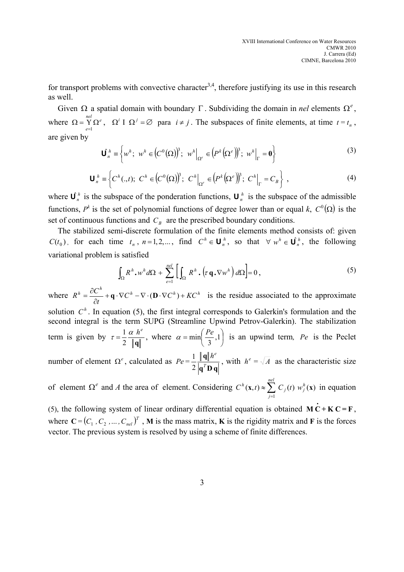for transport problems with convective character<sup>3,4</sup>, therefore justifying its use in this research as well.

Given  $\Omega$  a spatial domain with boundary Γ. Subdividing the domain in *nel* elements  $\Omega^e$ , where  $\Omega = \sum_{e=1}^{nel} \Omega^e$ ,  $\Omega^i I \Omega^j = \emptyset$  para  $i \neq j$ . The subspaces of finite elements, at time  $t = t_n$ , are given by

$$
\mathbf{U}_n^h \equiv \left\{ w^h; \ w^h \in (C^0(\Omega))^3; \ w^h \big|_{\Omega^e} \in (P^k(\Omega^e))^3; \ w^h \big|_{\Gamma} = \mathbf{0} \right\}
$$
 (3)

$$
\mathbf{U}_n^h \equiv \left\{ C^h(.,t); \ C^h \in (C^0(\Omega))^3; \ C^h \Big|_{\Omega^e} \in (P^k(\Omega^e))^3; \ C^h \Big|_{\Gamma} = C_B \right\} ,\tag{4}
$$

where  $\mathbf{U}_n^h$  is the subspace of the ponderation functions,  $\mathbf{U}_n^h$  is the subspace of the admissible functions,  $P^k$  is the set of polynomial functions of degree lower than or equal *k*,  $C^0(\Omega)$  is the set of continuous functions and  $C_B$  are the prescribed boundary conditions.

The stabilized semi-discrete formulation of the finite elements method consists of: given  $C(t_0)$ , for each time  $t_n$ ,  $n=1,2,...$ , find  $C^h \in \mathbf{U}_n^h$ , so that  $\forall w^h \in \mathbf{U}_n^h$ , the following variational problem is satisfied

$$
\int_{\Omega} R^{h} \cdot w^{h} d\Omega + \sum_{e=1}^{nel} \left[ \int_{\Omega} R^{h} \cdot \left( \tau \mathbf{q} \cdot \nabla w^{h} \right) d\Omega \right] = 0, \qquad (5)
$$

where  $R^h = \frac{\partial C^h}{\partial \theta^h} + \mathbf{q} \cdot \nabla C^h - \nabla \cdot (\mathbf{D} \cdot \nabla C^h) + KC^h$ *t*  $R^h = \frac{\partial C^h}{\partial \mathbf{C}} + \mathbf{q} \cdot \nabla C^h - \nabla \cdot (\mathbf{D} \cdot \nabla C^h) +$ ∂  $=\frac{\partial C^h}{\partial \mathbf{r}} + \mathbf{q} \cdot \nabla C^h - \nabla \cdot (\mathbf{D} \cdot \nabla C^h) + KC^h$  is the residue associated to the approximate solution  $C<sup>h</sup>$ . In equation (5), the first integral corresponds to Galerkin's formulation and the second integral is the term SUPG (Streamline Upwind Petrov-Galerkin). The stabilization term is given by **q**  $\tau = \frac{1}{2} \frac{\alpha}{\|\mathbf{q}\|}^e$ , where  $\alpha = \min\left(\frac{Pe}{3}, 1\right)$ J  $\left(\frac{Pe}{2},1\right)$ l  $=\min\left(\frac{Pe}{2},1\right)$ 3  $\alpha = \min\left(\frac{Pe}{2},1\right)$  is an upwind term, *Pe* is the Peclet **q**  $h^e$ 

number of element Ω<sup>e</sup>, calculated as  $\mathbf{q}^T \mathbf{D} \mathbf{q}$ *T*  $Pe = \frac{1}{2} \frac{\|\mathbf{q}\| h^e}{\|\mathbf{q}^T \mathbf{D} \mathbf{q}|}$ , with  $h^e = \sqrt{A}$  as the characteristic size

of element  $\Omega^e$  and *A* the area of element. Considering  $C^h$ (**x**,*t*)  $\approx \sum_{i=1}^{\infty} C_i(t) w_i^h(\mathbf{x})$ 1  $\mathbf{x}, t$ )  $\approx \sum C_j(t) w_j^h(\mathbf{x})$ *nel j*  $C^h$  (**x**, *t*)  $\approx \sum_{j=1}^{n} C_j(t)$  *w*  $\approx \sum_{i} C_i(t) w_i^h(\mathbf{x})$  in equation

(5), the following system of linear ordinary differential equation is obtained  $\mathbf{M} \dot{\mathbf{C}} + \mathbf{K} \mathbf{C} = \mathbf{F}$ , where  $C = (C_1, C_2, ..., C_{nel})^T$ , M is the mass matrix, K is the rigidity matrix and F is the forces vector. The previous system is resolved by using a scheme of finite differences.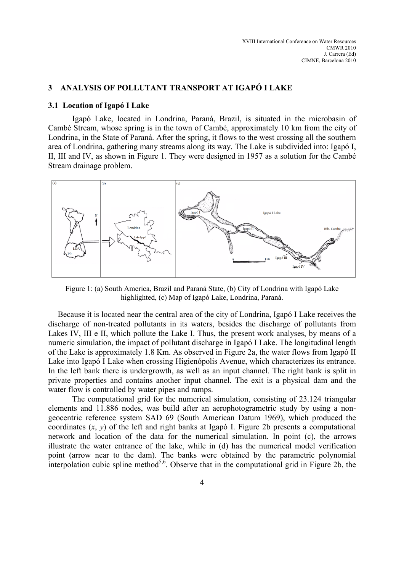# **3 ANALYSIS OF POLLUTANT TRANSPORT AT IGAPÓ I LAKE**

### **3.1 Location of Igapó I Lake**

Igapó Lake, located in Londrina, Paraná, Brazil, is situated in the microbasin of Cambé Stream, whose spring is in the town of Cambé, approximately 10 km from the city of Londrina, in the State of Paraná. After the spring, it flows to the west crossing all the southern area of Londrina, gathering many streams along its way. The Lake is subdivided into: Igapó I, II, III and IV, as shown in Figure 1. They were designed in 1957 as a solution for the Cambé Stream drainage problem.



Figure 1: (a) South America, Brazil and Paraná State, (b) City of Londrina with Igapó Lake highlighted, (c) Map of Igapó Lake, Londrina, Paraná.

Because it is located near the central area of the city of Londrina, Igapó I Lake receives the discharge of non-treated pollutants in its waters, besides the discharge of pollutants from Lakes IV, III e II, which pollute the Lake I. Thus, the present work analyses, by means of a numeric simulation, the impact of pollutant discharge in Igapó I Lake. The longitudinal length of the Lake is approximately 1.8 Km. As observed in Figure 2a, the water flows from Igapó II Lake into Igapó I Lake when crossing Higienópolis Avenue, which characterizes its entrance. In the left bank there is undergrowth, as well as an input channel. The right bank is split in private properties and contains another input channel. The exit is a physical dam and the water flow is controlled by water pipes and ramps.

The computational grid for the numerical simulation, consisting of 23.124 triangular elements and 11.886 nodes, was build after an aerophotogrametric study by using a nongeocentric reference system SAD 69 (South American Datum 1969), which produced the coordinates  $(x, y)$  of the left and right banks at Igapó I. Figure 2b presents a computational network and location of the data for the numerical simulation. In point (c), the arrows illustrate the water entrance of the lake, while in (d) has the numerical model verification point (arrow near to the dam). The banks were obtained by the parametric polynomial interpolation cubic spline method<sup>5,6</sup>. Observe that in the computational grid in Figure 2b, the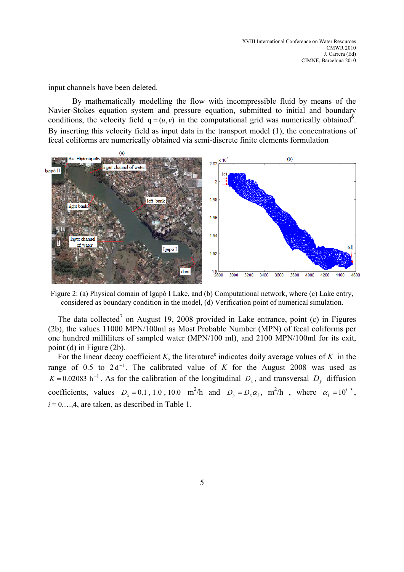input channels have been deleted.

By mathematically modelling the flow with incompressible fluid by means of the Navier-Stokes equation system and pressure equation, submitted to initial and boundary conditions, the velocity field  $\mathbf{q} = (u, v)$  in the computational grid was numerically obtained<sup>6</sup>. By inserting this velocity field as input data in the transport model (1), the concentrations of fecal coliforms are numerically obtained via semi-discrete finite elements formulation



Figure 2: (a) Physical domain of Igapó I Lake, and (b) Computational network, where (c) Lake entry, considered as boundary condition in the model, (d) Verification point of numerical simulation.

The data collected<sup>7</sup> on August 19, 2008 provided in Lake entrance, point (c) in Figures (2b), the values 11000 MPN/100ml as Most Probable Number (MPN) of fecal coliforms per one hundred milliliters of sampled water (MPN/100 ml), and 2100 MPN/100ml for its exit, point (d) in Figure (2b).

For the linear decay coefficient  $K$ , the literature<sup>8</sup> indicates daily average values of  $K$  in the range of 0.5 to  $2d^{-1}$ . The calibrated value of *K* for the August 2008 was used as  $K = 0.02083$  h<sup>-1</sup>. As for the calibration of the longitudinal  $D<sub>x</sub>$ , and transversal  $D<sub>y</sub>$  diffusion coefficients, values  $D_x = 0.1$ , 1.0, 10.0 m<sup>2</sup>/h and  $D_y = D_x \alpha_i$ , m<sup>2</sup>/h, where  $\alpha_i = 10^{i-3}$ ,  $i = 0, \ldots, 4$ , are taken, as described in Table 1.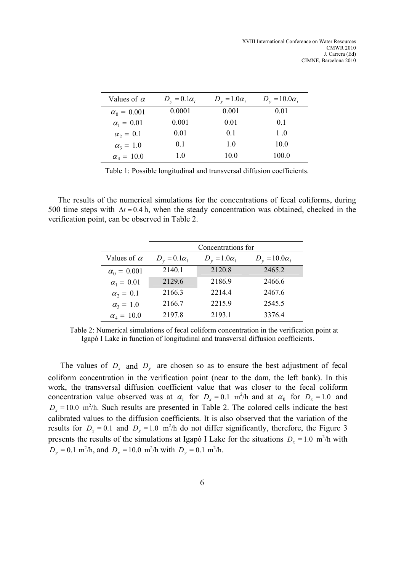| Values of $\alpha$ | $D_v = 0.1 \alpha_i$ | $D_v = 1.0\alpha_i$ | $D_v = 10.0 \alpha_i$ |
|--------------------|----------------------|---------------------|-----------------------|
| $\alpha_0 = 0.001$ | 0.0001               | 0.001               | 0.01                  |
| $\alpha_1 = 0.01$  | 0.001                | 0.01                | 0 <sup>1</sup>        |
| $\alpha_2 = 0.1$   | 0.01                 | 0.1                 | $1_{\Omega}$          |
| $\alpha_3 = 1.0$   | 0 <sub>1</sub>       | 1.0                 | 10.0                  |
| $\alpha_4 = 10.0$  | 10                   | 10.0                | 100.0                 |

Table 1: Possible longitudinal and transversal diffusion coefficients.

The results of the numerical simulations for the concentrations of fecal coliforms, during 500 time steps with ∆*t* = 0.4 h, when the steady concentration was obtained, checked in the verification point, can be observed in Table 2.

|                    | Concentrations for   |                     |                      |  |
|--------------------|----------------------|---------------------|----------------------|--|
| Values of $\alpha$ | $D_v = 0.1 \alpha_i$ | $D_v = 1.0\alpha_i$ | $D_v = 10.0\alpha_i$ |  |
| $\alpha_0 = 0.001$ | 2140.1               | 2120.8              | 2465.2               |  |
| $\alpha_1 = 0.01$  | 2129.6               | 2186.9              | 2466.6               |  |
| $\alpha_2 = 0.1$   | 2166.3               | 2214.4              | 2467.6               |  |
| $\alpha_3 = 1.0$   | 2166.7               | 2215.9              | 2545.5               |  |
| $\alpha_4 = 10.0$  | 2197.8               | 2193.1              | 3376.4               |  |

Table 2: Numerical simulations of fecal coliform concentration in the verification point at Igapó I Lake in function of longitudinal and transversal diffusion coefficients.

The values of  $D_x$  and  $D_y$  are chosen so as to ensure the best adjustment of fecal coliform concentration in the verification point (near to the dam, the left bank). In this work, the transversal diffusion coefficient value that was closer to the fecal coliform concentration value observed was at  $\alpha_1$  for  $D_x = 0.1$  m<sup>2</sup>/h and at  $\alpha_0$  for  $D_x = 1.0$  and  $D_x = 10.0$  m<sup>2</sup>/h. Such results are presented in Table 2. The colored cells indicate the best calibrated values to the diffusion coefficients. It is also observed that the variation of the results for  $D_x = 0.1$  and  $D_x = 1.0$  m<sup>2</sup>/h do not differ significantly, therefore, the Figure 3 presents the results of the simulations at Igapó I Lake for the situations  $D_x = 1.0 \text{ m}^2/\text{h}$  with  $D_y = 0.1 \text{ m}^2/\text{h}$ , and  $D_x = 10.0 \text{ m}^2/\text{h}$  with  $D_y = 0.1 \text{ m}^2/\text{h}$ .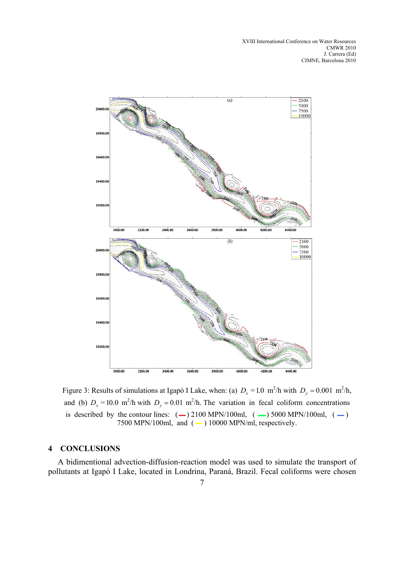

Figure 3: Results of simulations at Igapó I Lake, when: (a)  $D_x = 1.0 \text{ m}^2/\text{h}$  with  $D_y = 0.001 \text{ m}^2/\text{h}$ , and (b)  $D_x = 10.0 \text{ m}^2/\text{h}$  with  $D_y = 0.01 \text{ m}^2/\text{h}$ . The variation in fecal coliform concentrations is described by the contour lines:  $(-)$  2100 MPN/100ml,  $(-)$  5000 MPN/100ml,  $(-)$ 7500 MPN/100ml, and  $(-)$  10000 MPN/ml, respectively.

### **4 CONCLUSIONS**

A bidimentional advection-diffusion-reaction model was used to simulate the transport of pollutants at Igapó I Lake, located in Londrina, Paraná, Brazil. Fecal coliforms were chosen